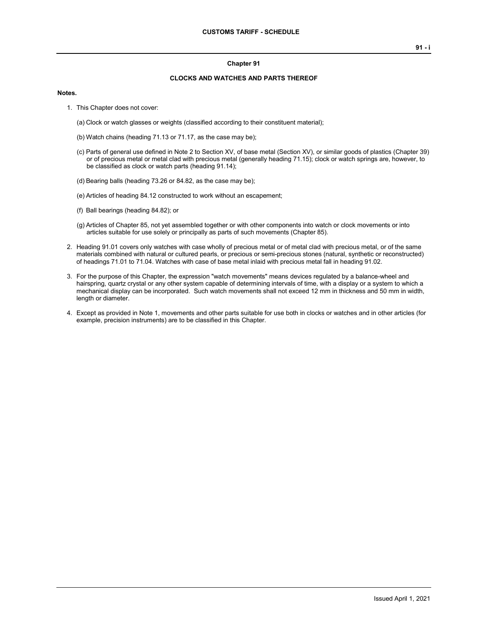#### **Chapter 91**

### **CLOCKS AND WATCHES AND PARTS THEREOF**

#### **Notes.**

- 1. This Chapter does not cover:
	- (a) Clock or watch glasses or weights (classified according to their constituent material);
	- (b) Watch chains (heading 71.13 or 71.17, as the case may be);
	- (c) Parts of general use defined in Note 2 to Section XV, of base metal (Section XV), or similar goods of plastics (Chapter 39) or of precious metal or metal clad with precious metal (generally heading 71.15); clock or watch springs are, however, to be classified as clock or watch parts (heading 91.14);
	- (d) Bearing balls (heading 73.26 or 84.82, as the case may be);
	- (e) Articles of heading 84.12 constructed to work without an escapement;
	- (f) Ball bearings (heading 84.82); or
	- (g) Articles of Chapter 85, not yet assembled together or with other components into watch or clock movements or into articles suitable for use solely or principally as parts of such movements (Chapter 85).
- 2. Heading 91.01 covers only watches with case wholly of precious metal or of metal clad with precious metal, or of the same materials combined with natural or cultured pearls, or precious or semi-precious stones (natural, synthetic or reconstructed) of headings 71.01 to 71.04. Watches with case of base metal inlaid with precious metal fall in heading 91.02.
- 3. For the purpose of this Chapter, the expression "watch movements" means devices regulated by a balance-wheel and hairspring, quartz crystal or any other system capable of determining intervals of time, with a display or a system to which a mechanical display can be incorporated. Such watch movements shall not exceed 12 mm in thickness and 50 mm in width, length or diameter.
- 4. Except as provided in Note 1, movements and other parts suitable for use both in clocks or watches and in other articles (for example, precision instruments) are to be classified in this Chapter.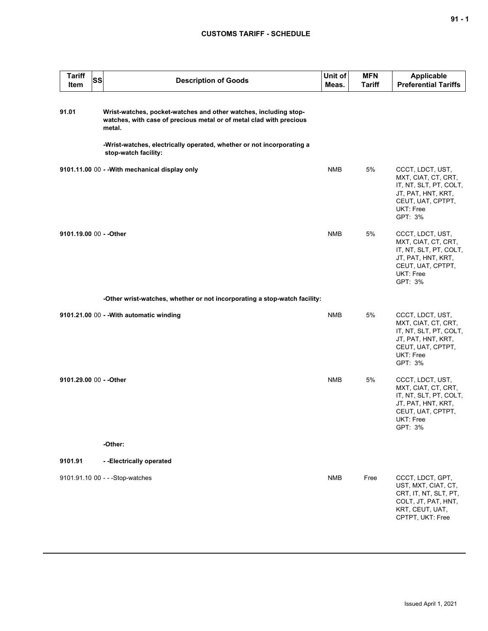## **CUSTOMS TARIFF - SCHEDULE**

| <b>Tariff</b><br>Item   | <b>SS</b> | <b>Description of Goods</b>                                                                                                                       | Unit of<br>Meas. | <b>MFN</b><br><b>Tariff</b> | <b>Applicable</b><br><b>Preferential Tariffs</b>                                                                                     |
|-------------------------|-----------|---------------------------------------------------------------------------------------------------------------------------------------------------|------------------|-----------------------------|--------------------------------------------------------------------------------------------------------------------------------------|
| 91.01                   |           | Wrist-watches, pocket-watches and other watches, including stop-<br>watches, with case of precious metal or of metal clad with precious<br>metal. |                  |                             |                                                                                                                                      |
|                         |           | -Wrist-watches, electrically operated, whether or not incorporating a<br>stop-watch facility:                                                     |                  |                             |                                                                                                                                      |
|                         |           | 9101.11.00 00 - - With mechanical display only                                                                                                    | <b>NMB</b>       | 5%                          | CCCT, LDCT, UST,<br>MXT, CIAT, CT, CRT,<br>IT, NT, SLT, PT, COLT,<br>JT, PAT, HNT, KRT,<br>CEUT, UAT, CPTPT,<br>UKT: Free<br>GPT: 3% |
| 9101.19.00 00 - - Other |           |                                                                                                                                                   | <b>NMB</b>       | 5%                          | CCCT, LDCT, UST,<br>MXT, CIAT, CT, CRT,<br>IT, NT, SLT, PT, COLT,<br>JT, PAT, HNT, KRT,<br>CEUT, UAT, CPTPT,<br>UKT: Free<br>GPT: 3% |
|                         |           | -Other wrist-watches, whether or not incorporating a stop-watch facility:                                                                         |                  |                             |                                                                                                                                      |
|                         |           | 9101.21.00 00 - - With automatic winding                                                                                                          | <b>NMB</b>       | 5%                          | CCCT, LDCT, UST,<br>MXT, CIAT, CT, CRT,<br>IT, NT, SLT, PT, COLT,<br>JT, PAT, HNT, KRT,<br>CEUT, UAT, CPTPT,<br>UKT: Free<br>GPT: 3% |
| 9101.29.00 00 - - Other |           |                                                                                                                                                   | <b>NMB</b>       | 5%                          | CCCT, LDCT, UST,<br>MXT, CIAT, CT, CRT,<br>IT, NT, SLT, PT, COLT,<br>JT, PAT, HNT, KRT,<br>CEUT, UAT, CPTPT,<br>UKT: Free<br>GPT: 3% |
|                         |           | -Other:                                                                                                                                           |                  |                             |                                                                                                                                      |
| 9101.91                 |           | --Electrically operated                                                                                                                           |                  |                             |                                                                                                                                      |
|                         |           | 9101.91.10 00 - - - Stop-watches                                                                                                                  | <b>NMB</b>       | Free                        | CCCT, LDCT, GPT,<br>UST, MXT, CIAT, CT,<br>CRT, IT, NT, SLT, PT,<br>COLT, JT, PAT, HNT,<br>KRT, CEUT, UAT,<br>CPTPT, UKT: Free       |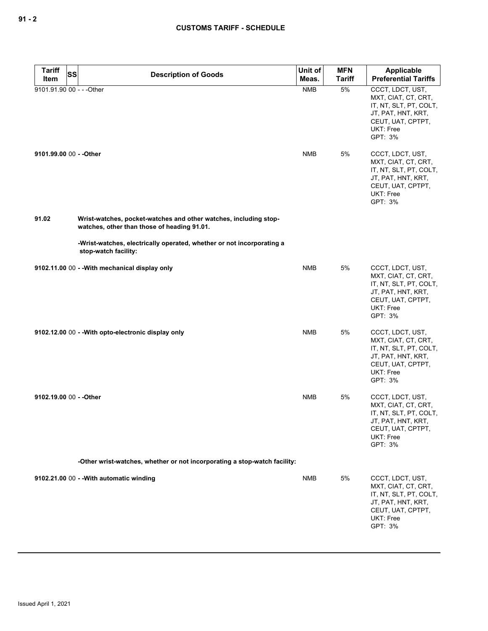| <b>Tariff</b><br>SS               | <b>Description of Goods</b>                                                                                     | Unit of<br>Meas. | <b>MFN</b><br><b>Tariff</b> | Applicable<br><b>Preferential Tariffs</b>                                                                                                   |
|-----------------------------------|-----------------------------------------------------------------------------------------------------------------|------------------|-----------------------------|---------------------------------------------------------------------------------------------------------------------------------------------|
| Item<br>9101.91.90 00 - - - Other |                                                                                                                 | <b>NMB</b>       | 5%                          | CCCT, LDCT, UST,                                                                                                                            |
|                                   |                                                                                                                 |                  |                             | MXT, CIAT, CT, CRT,<br>IT, NT, SLT, PT, COLT,<br>JT, PAT, HNT, KRT,<br>CEUT, UAT, CPTPT,<br>UKT: Free<br>GPT: 3%                            |
| 9101.99.00 00 - - Other           |                                                                                                                 | <b>NMB</b>       | 5%                          | CCCT, LDCT, UST,<br>MXT, CIAT, CT, CRT,<br>IT, NT, SLT, PT, COLT,<br>JT, PAT, HNT, KRT,<br>CEUT, UAT, CPTPT,<br>UKT: Free<br>GPT: 3%        |
| 91.02                             | Wrist-watches, pocket-watches and other watches, including stop-<br>watches, other than those of heading 91.01. |                  |                             |                                                                                                                                             |
|                                   | -Wrist-watches, electrically operated, whether or not incorporating a<br>stop-watch facility:                   |                  |                             |                                                                                                                                             |
|                                   | 9102.11.00 00 - - With mechanical display only                                                                  | <b>NMB</b>       | 5%                          | CCCT, LDCT, UST,<br>MXT, CIAT, CT, CRT,<br>IT, NT, SLT, PT, COLT,<br>JT, PAT, HNT, KRT,<br>CEUT, UAT, CPTPT,<br>UKT: Free<br>GPT: 3%        |
|                                   | 9102.12.00 00 - - With opto-electronic display only                                                             | <b>NMB</b>       | 5%                          | CCCT, LDCT, UST,<br>MXT, CIAT, CT, CRT,<br>IT, NT, SLT, PT, COLT,<br>JT, PAT, HNT, KRT,<br>CEUT, UAT, CPTPT,<br>UKT: Free<br>GPT: 3%        |
| 9102.19.00 00 - - Other           |                                                                                                                 | <b>NMB</b>       | 5%                          | CCCT, LDCT, UST,<br>MXT, CIAT, CT, CRT,<br>IT, NT, SLT, PT, COLT,<br>JT, PAT, HNT, KRT,<br>CEUT, UAT, CPTPT,<br><b>UKT: Free</b><br>GPT: 3% |
|                                   | -Other wrist-watches, whether or not incorporating a stop-watch facility:                                       |                  |                             |                                                                                                                                             |
|                                   | 9102.21.00 00 - - With automatic winding                                                                        | <b>NMB</b>       | 5%                          | CCCT, LDCT, UST,<br>MXT, CIAT, CT, CRT,<br>IT, NT, SLT, PT, COLT,<br>JT, PAT, HNT, KRT,<br>CEUT, UAT, CPTPT,<br>UKT: Free<br>GPT: 3%        |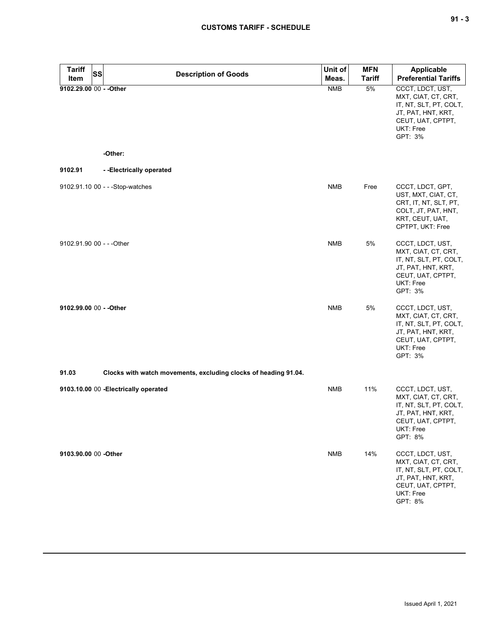| <b>Tariff</b><br>Item    | SS | <b>Description of Goods</b>                                     | Unit of<br>Meas. | <b>MFN</b><br><b>Tariff</b> | <b>Applicable</b><br><b>Preferential Tariffs</b>                                                                                     |
|--------------------------|----|-----------------------------------------------------------------|------------------|-----------------------------|--------------------------------------------------------------------------------------------------------------------------------------|
| 9102.29.00 00 - -Other   |    |                                                                 | <b>NMB</b>       | 5%                          | CCCT, LDCT, UST,<br>MXT, CIAT, CT, CRT,<br>IT, NT, SLT, PT, COLT,<br>JT, PAT, HNT, KRT,<br>CEUT, UAT, CPTPT,<br>UKT: Free<br>GPT: 3% |
|                          |    | -Other:                                                         |                  |                             |                                                                                                                                      |
| 9102.91                  |    | --Electrically operated                                         |                  |                             |                                                                                                                                      |
|                          |    | 9102.91.10 00 - - -Stop-watches                                 | <b>NMB</b>       | Free                        | CCCT, LDCT, GPT,<br>UST, MXT, CIAT, CT,<br>CRT, IT, NT, SLT, PT,<br>COLT, JT, PAT, HNT,<br>KRT, CEUT, UAT,<br>CPTPT, UKT: Free       |
| 9102.91.90 00 - - -Other |    |                                                                 | <b>NMB</b>       | 5%                          | CCCT, LDCT, UST,<br>MXT, CIAT, CT, CRT,<br>IT, NT, SLT, PT, COLT,<br>JT, PAT, HNT, KRT,<br>CEUT, UAT, CPTPT,<br>UKT: Free<br>GPT: 3% |
|                          |    |                                                                 | <b>NMB</b>       | 5%                          | CCCT, LDCT, UST,<br>MXT, CIAT, CT, CRT,<br>IT, NT, SLT, PT, COLT,<br>JT, PAT, HNT, KRT,<br>CEUT, UAT, CPTPT,<br>UKT: Free<br>GPT: 3% |
| 91.03                    |    | Clocks with watch movements, excluding clocks of heading 91.04. |                  |                             |                                                                                                                                      |
|                          |    | 9103.10.00 00 - Electrically operated                           | <b>NMB</b>       | 11%                         | CCCT, LDCT, UST,<br>MXT, CIAT, CT, CRT,<br>IT, NT, SLT, PT, COLT,<br>JT, PAT, HNT, KRT,<br>CEUT, UAT, CPTPT,<br>UKT: Free<br>GPT: 8% |
| 9103.90.00 00 -Other     |    |                                                                 | <b>NMB</b>       | 14%                         | CCCT, LDCT, UST,<br>MXT, CIAT, CT, CRT,<br>IT, NT, SLT, PT, COLT,<br>JT, PAT, HNT, KRT,<br>CEUT, UAT, CPTPT,<br>UKT: Free<br>GPT: 8% |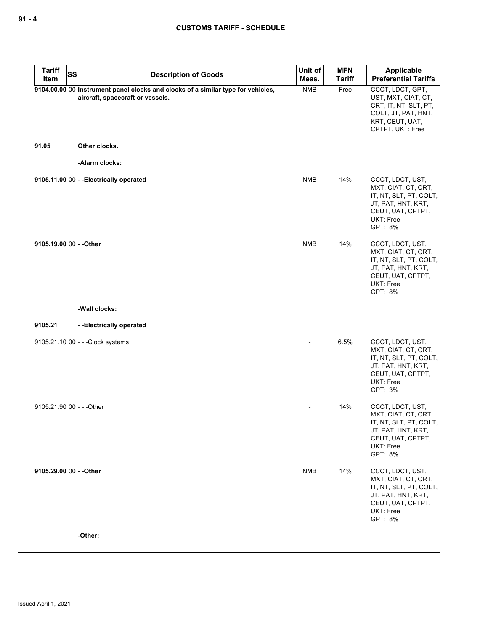| <b>Tariff</b><br><b>SS</b><br>Item | <b>Description of Goods</b>                                                                                                           | Unit of<br>Meas. | <b>MFN</b><br><b>Tariff</b> | Applicable<br><b>Preferential Tariffs</b>                                                                                            |
|------------------------------------|---------------------------------------------------------------------------------------------------------------------------------------|------------------|-----------------------------|--------------------------------------------------------------------------------------------------------------------------------------|
| 91.05                              | 9104.00.00 00 Instrument panel clocks and clocks of a similar type for vehicles,<br>aircraft, spacecraft or vessels.<br>Other clocks. | <b>NMB</b>       | Free                        | CCCT, LDCT, GPT,<br>UST, MXT, CIAT, CT,<br>CRT, IT, NT, SLT, PT,<br>COLT, JT, PAT, HNT,<br>KRT, CEUT, UAT,<br>CPTPT, UKT: Free       |
|                                    | -Alarm clocks:                                                                                                                        |                  |                             |                                                                                                                                      |
|                                    | 9105.11.00 00 - - Electrically operated                                                                                               | <b>NMB</b>       | 14%                         | CCCT, LDCT, UST,<br>MXT, CIAT, CT, CRT,<br>IT, NT, SLT, PT, COLT,<br>JT, PAT, HNT, KRT,<br>CEUT, UAT, CPTPT,<br>UKT: Free<br>GPT: 8% |
| 9105.19.00 00 - - Other            |                                                                                                                                       | <b>NMB</b>       | 14%                         | CCCT, LDCT, UST,<br>MXT, CIAT, CT, CRT,<br>IT, NT, SLT, PT, COLT,<br>JT, PAT, HNT, KRT,<br>CEUT, UAT, CPTPT,<br>UKT: Free<br>GPT: 8% |
|                                    | -Wall clocks:                                                                                                                         |                  |                             |                                                                                                                                      |
| 9105.21                            | --Electrically operated                                                                                                               |                  |                             |                                                                                                                                      |
|                                    | 9105.21.10 00 - - - Clock systems                                                                                                     |                  | 6.5%                        | CCCT, LDCT, UST,<br>MXT, CIAT, CT, CRT,<br>IT, NT, SLT, PT, COLT,<br>JT, PAT, HNT, KRT,<br>CEUT, UAT, CPTPT,<br>UKT: Free<br>GPT: 3% |
| 9105.21.90 00 - - - Other          |                                                                                                                                       |                  | 14%                         | CCCT, LDCT, UST,<br>MXT, CIAT, CT, CRT,<br>IT, NT, SLT, PT, COLT,<br>JT, PAT, HNT, KRT,<br>CEUT, UAT, CPTPT,<br>UKT: Free<br>GPT: 8% |
| 9105.29.00 00 - - Other            |                                                                                                                                       | <b>NMB</b>       | 14%                         | CCCT, LDCT, UST,<br>MXT, CIAT, CT, CRT,<br>IT, NT, SLT, PT, COLT,<br>JT, PAT, HNT, KRT,<br>CEUT, UAT, CPTPT,<br>UKT: Free<br>GPT: 8% |
|                                    | -Other:                                                                                                                               |                  |                             |                                                                                                                                      |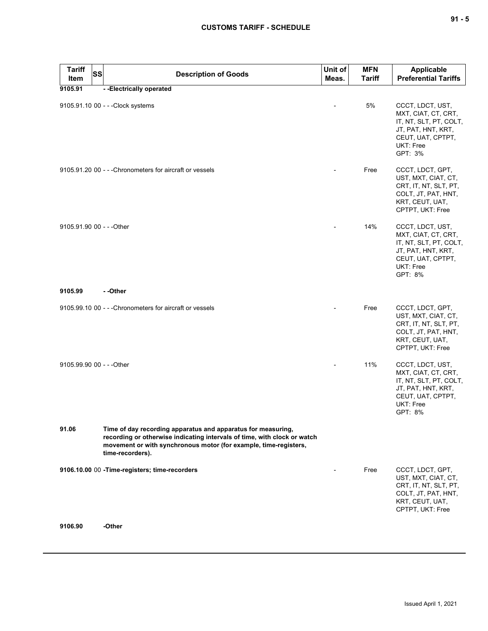| <b>Tariff</b><br><b>SS</b><br>Item | <b>Description of Goods</b>                                                                                                                                                                                                      | Unit of<br>Meas. | <b>MFN</b><br><b>Tariff</b> | Applicable<br><b>Preferential Tariffs</b>                                                                                            |
|------------------------------------|----------------------------------------------------------------------------------------------------------------------------------------------------------------------------------------------------------------------------------|------------------|-----------------------------|--------------------------------------------------------------------------------------------------------------------------------------|
| 9105.91                            | --Electrically operated                                                                                                                                                                                                          |                  |                             |                                                                                                                                      |
|                                    | 9105.91.10 00 - - - Clock systems                                                                                                                                                                                                |                  | 5%                          | CCCT, LDCT, UST,<br>MXT, CIAT, CT, CRT,<br>IT, NT, SLT, PT, COLT,<br>JT, PAT, HNT, KRT,<br>CEUT, UAT, CPTPT,<br>UKT: Free<br>GPT: 3% |
|                                    | 9105.91.20 00 - - - Chronometers for aircraft or vessels                                                                                                                                                                         |                  | Free                        | CCCT, LDCT, GPT,<br>UST, MXT, CIAT, CT,<br>CRT, IT, NT, SLT, PT,<br>COLT, JT, PAT, HNT,<br>KRT, CEUT, UAT,<br>CPTPT, UKT: Free       |
| 9105.91.90 00 - - - Other          |                                                                                                                                                                                                                                  |                  | 14%                         | CCCT, LDCT, UST,<br>MXT, CIAT, CT, CRT,<br>IT, NT, SLT, PT, COLT,<br>JT, PAT, HNT, KRT,<br>CEUT, UAT, CPTPT,<br>UKT: Free<br>GPT: 8% |
| 9105.99                            | - -Other                                                                                                                                                                                                                         |                  |                             |                                                                                                                                      |
|                                    | 9105.99.10 00 - - - Chronometers for aircraft or vessels                                                                                                                                                                         |                  | Free                        | CCCT, LDCT, GPT,<br>UST, MXT, CIAT, CT,<br>CRT, IT, NT, SLT, PT,<br>COLT, JT, PAT, HNT,<br>KRT, CEUT, UAT,<br>CPTPT, UKT: Free       |
| 9105.99.90 00 - - - Other          |                                                                                                                                                                                                                                  |                  | 11%                         | CCCT, LDCT, UST,<br>MXT, CIAT, CT, CRT,<br>IT, NT, SLT, PT, COLT,<br>JT, PAT, HNT, KRT,<br>CEUT, UAT, CPTPT,<br>UKT: Free<br>GPT: 8% |
| 91.06                              | Time of day recording apparatus and apparatus for measuring,<br>recording or otherwise indicating intervals of time, with clock or watch<br>movement or with synchronous motor (for example, time-registers,<br>time-recorders). |                  |                             |                                                                                                                                      |
| 9106.90                            | 9106.10.00 00 - Time-registers; time-recorders<br>-Other                                                                                                                                                                         |                  | Free                        | CCCT, LDCT, GPT,<br>UST, MXT, CIAT, CT,<br>CRT, IT, NT, SLT, PT,<br>COLT, JT, PAT, HNT,<br>KRT, CEUT, UAT,<br>CPTPT, UKT: Free       |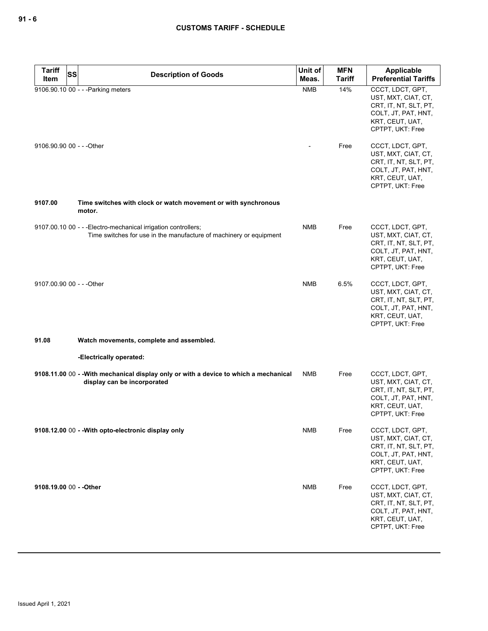| <b>Tariff</b><br><b>SS</b> | <b>Description of Goods</b>                                                                                                          | Unit of    | <b>MFN</b>    | <b>Applicable</b>                                                                                                              |
|----------------------------|--------------------------------------------------------------------------------------------------------------------------------------|------------|---------------|--------------------------------------------------------------------------------------------------------------------------------|
| Item                       |                                                                                                                                      | Meas.      | <b>Tariff</b> | <b>Preferential Tariffs</b>                                                                                                    |
|                            | 9106.90.10 00 - - - Parking meters                                                                                                   | <b>NMB</b> | 14%           | CCCT, LDCT, GPT,<br>UST, MXT, CIAT, CT,<br>CRT, IT, NT, SLT, PT,<br>COLT, JT, PAT, HNT,<br>KRT, CEUT, UAT,<br>CPTPT, UKT: Free |
| 9106.90.90 00 - - - Other  |                                                                                                                                      |            | Free          | CCCT, LDCT, GPT,<br>UST, MXT, CIAT, CT,<br>CRT, IT, NT, SLT, PT,<br>COLT, JT, PAT, HNT,<br>KRT, CEUT, UAT,<br>CPTPT, UKT: Free |
| 9107.00                    | Time switches with clock or watch movement or with synchronous<br>motor.                                                             |            |               |                                                                                                                                |
|                            | 9107.00.10 00 - - - Electro-mechanical irrigation controllers;<br>Time switches for use in the manufacture of machinery or equipment | <b>NMB</b> | Free          | CCCT, LDCT, GPT,<br>UST, MXT, CIAT, CT,<br>CRT, IT, NT, SLT, PT,<br>COLT, JT, PAT, HNT,<br>KRT, CEUT, UAT,<br>CPTPT, UKT: Free |
| 9107.00.90 00 - - - Other  |                                                                                                                                      | <b>NMB</b> | 6.5%          | CCCT, LDCT, GPT,<br>UST, MXT, CIAT, CT,<br>CRT, IT, NT, SLT, PT,<br>COLT, JT, PAT, HNT,<br>KRT, CEUT, UAT,<br>CPTPT, UKT: Free |
| 91.08                      | Watch movements, complete and assembled.                                                                                             |            |               |                                                                                                                                |
|                            | -Electrically operated:                                                                                                              |            |               |                                                                                                                                |
|                            | 9108.11.00 00 - - With mechanical display only or with a device to which a mechanical<br>display can be incorporated                 | <b>NMB</b> | Free          | CCCT, LDCT, GPT,<br>UST, MXT, CIAT, CT,<br>CRT, IT, NT, SLT, PT,<br>COLT, JT, PAT, HNT,<br>KRT, CEUT, UAT,<br>CPTPT, UKT: Free |
|                            | 9108.12.00 00 - - With opto-electronic display only                                                                                  | <b>NMB</b> | Free          | CCCT, LDCT, GPT,<br>UST, MXT, CIAT, CT,<br>CRT, IT, NT, SLT, PT,<br>COLT, JT, PAT, HNT,<br>KRT, CEUT, UAT,<br>CPTPT, UKT: Free |
| 9108.19.00 00 - - Other    |                                                                                                                                      | <b>NMB</b> | Free          | CCCT, LDCT, GPT,<br>UST, MXT, CIAT, CT,<br>CRT, IT, NT, SLT, PT,<br>COLT, JT, PAT, HNT,<br>KRT, CEUT, UAT,<br>CPTPT, UKT: Free |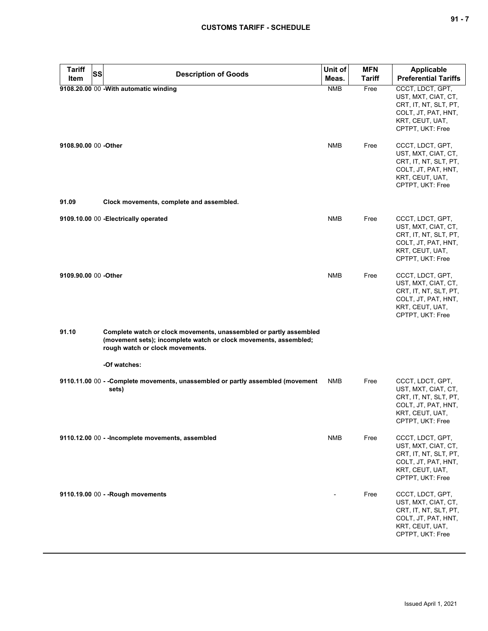| ×<br>۰. |  |  |
|---------|--|--|
|---------|--|--|

| <b>Tariff</b>         | <b>SS</b> | <b>Description of Goods</b>                                                                                                                                               | Unit of    | <b>MFN</b>    | <b>Applicable</b>                                                                                                              |
|-----------------------|-----------|---------------------------------------------------------------------------------------------------------------------------------------------------------------------------|------------|---------------|--------------------------------------------------------------------------------------------------------------------------------|
| Item                  |           |                                                                                                                                                                           | Meas.      | <b>Tariff</b> | <b>Preferential Tariffs</b>                                                                                                    |
|                       |           | 9108.20.00 00 - With automatic winding                                                                                                                                    | <b>NMB</b> | Free          | CCCT, LDCT, GPT,<br>UST, MXT, CIAT, CT,<br>CRT, IT, NT, SLT, PT,<br>COLT, JT, PAT, HNT,<br>KRT, CEUT, UAT,<br>CPTPT, UKT: Free |
| 9108.90.00 00 -Other  |           |                                                                                                                                                                           | <b>NMB</b> | Free          | CCCT, LDCT, GPT,<br>UST, MXT, CIAT, CT,<br>CRT, IT, NT, SLT, PT,<br>COLT, JT, PAT, HNT,<br>KRT, CEUT, UAT,<br>CPTPT, UKT: Free |
| 91.09                 |           | Clock movements, complete and assembled.                                                                                                                                  |            |               |                                                                                                                                |
|                       |           | 9109.10.00 00 - Electrically operated                                                                                                                                     | <b>NMB</b> | Free          | CCCT, LDCT, GPT,<br>UST, MXT, CIAT, CT,<br>CRT, IT, NT, SLT, PT,<br>COLT, JT, PAT, HNT,<br>KRT, CEUT, UAT,<br>CPTPT, UKT: Free |
| 9109.90.00 00 - Other |           |                                                                                                                                                                           | <b>NMB</b> | Free          | CCCT, LDCT, GPT,<br>UST, MXT, CIAT, CT,<br>CRT, IT, NT, SLT, PT,<br>COLT, JT, PAT, HNT,<br>KRT, CEUT, UAT,<br>CPTPT, UKT: Free |
| 91.10                 |           | Complete watch or clock movements, unassembled or partly assembled<br>(movement sets); incomplete watch or clock movements, assembled;<br>rough watch or clock movements. |            |               |                                                                                                                                |
|                       |           | -Of watches:                                                                                                                                                              |            |               |                                                                                                                                |
|                       |           | 9110.11.00 00 - -Complete movements, unassembled or partly assembled (movement<br>sets)                                                                                   | <b>NMB</b> | Free          | CCCT, LDCT, GPT,<br>UST, MXT, CIAT, CT,<br>CRT, IT, NT, SLT, PT,<br>COLT, JT, PAT, HNT,<br>KRT, CEUT, UAT,<br>CPTPT, UKT: Free |
|                       |           | 9110.12.00 00 - - Incomplete movements, assembled                                                                                                                         | NMB        | Free          | CCCT, LDCT, GPT,<br>UST, MXT, CIAT, CT,<br>CRT, IT, NT, SLT, PT,<br>COLT, JT, PAT, HNT,<br>KRT, CEUT, UAT,<br>CPTPT, UKT: Free |
|                       |           | 9110.19.00 00 - - Rough movements                                                                                                                                         |            | Free          | CCCT, LDCT, GPT,<br>UST, MXT, CIAT, CT,<br>CRT, IT, NT, SLT, PT,<br>COLT, JT, PAT, HNT,<br>KRT, CEUT, UAT,<br>CPTPT, UKT: Free |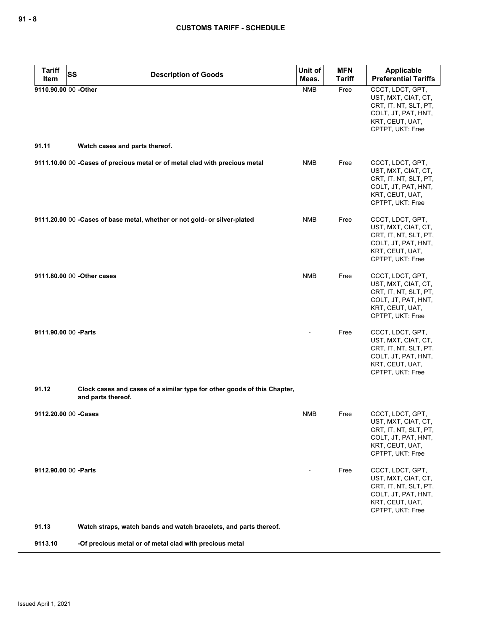| <b>Tariff</b><br><b>SS</b> | <b>Description of Goods</b>                                                                    | Unit of    | <b>MFN</b>    | <b>Applicable</b>                                                                                                              |
|----------------------------|------------------------------------------------------------------------------------------------|------------|---------------|--------------------------------------------------------------------------------------------------------------------------------|
| Item                       |                                                                                                | Meas.      | <b>Tariff</b> | <b>Preferential Tariffs</b>                                                                                                    |
| 9110.90.00 00 -Other       |                                                                                                | <b>NMB</b> | Free          | CCCT, LDCT, GPT,<br>UST, MXT, CIAT, CT,<br>CRT, IT, NT, SLT, PT,<br>COLT, JT, PAT, HNT,<br>KRT, CEUT, UAT,<br>CPTPT, UKT: Free |
| 91.11                      | Watch cases and parts thereof.                                                                 |            |               |                                                                                                                                |
|                            | 9111.10.00 00 - Cases of precious metal or of metal clad with precious metal                   | <b>NMB</b> | Free          | CCCT, LDCT, GPT,<br>UST, MXT, CIAT, CT,<br>CRT, IT, NT, SLT, PT,<br>COLT, JT, PAT, HNT,<br>KRT, CEUT, UAT,<br>CPTPT, UKT: Free |
|                            | 9111.20.00 00 -Cases of base metal, whether or not gold- or silver-plated                      | <b>NMB</b> | Free          | CCCT, LDCT, GPT,<br>UST, MXT, CIAT, CT,<br>CRT, IT, NT, SLT, PT,<br>COLT, JT, PAT, HNT,<br>KRT, CEUT, UAT,<br>CPTPT, UKT: Free |
|                            | 9111.80.00 00 - Other cases                                                                    | <b>NMB</b> | Free          | CCCT, LDCT, GPT,<br>UST, MXT, CIAT, CT,<br>CRT, IT, NT, SLT, PT,<br>COLT, JT, PAT, HNT,<br>KRT, CEUT, UAT,<br>CPTPT, UKT: Free |
| 9111.90.00 00 - Parts      |                                                                                                |            | Free          | CCCT, LDCT, GPT,<br>UST, MXT, CIAT, CT,<br>CRT, IT, NT, SLT, PT,<br>COLT, JT, PAT, HNT,<br>KRT, CEUT, UAT,<br>CPTPT, UKT: Free |
| 91.12                      | Clock cases and cases of a similar type for other goods of this Chapter,<br>and parts thereof. |            |               |                                                                                                                                |
| 9112.20.00 00 - Cases      |                                                                                                | NMB        | Free          | CCCT, LDCT, GPT,<br>UST, MXT, CIAT, CT,<br>CRT, IT, NT, SLT, PT,<br>COLT, JT, PAT, HNT,<br>KRT, CEUT, UAT,<br>CPTPT, UKT: Free |
| 9112.90.00 00 - Parts      |                                                                                                |            | Free          | CCCT, LDCT, GPT,<br>UST, MXT, CIAT, CT,<br>CRT, IT, NT, SLT, PT,<br>COLT, JT, PAT, HNT,<br>KRT, CEUT, UAT,<br>CPTPT, UKT: Free |
| 91.13                      | Watch straps, watch bands and watch bracelets, and parts thereof.                              |            |               |                                                                                                                                |
| 9113.10                    | -Of precious metal or of metal clad with precious metal                                        |            |               |                                                                                                                                |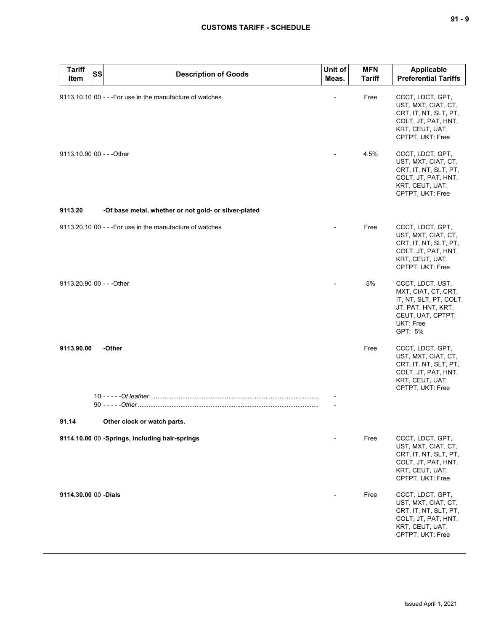# **CUSTOMS TARIFF - SCHEDULE**

| <b>Tariff</b><br><b>SS</b><br>Item | <b>Description of Goods</b>                               | Unit of<br>Meas. | <b>MFN</b><br>Tariff | Applicable<br><b>Preferential Tariffs</b>                                                                                            |
|------------------------------------|-----------------------------------------------------------|------------------|----------------------|--------------------------------------------------------------------------------------------------------------------------------------|
|                                    | 9113.10.10 00 - - - For use in the manufacture of watches |                  | Free                 | CCCT, LDCT, GPT,<br>UST, MXT, CIAT, CT,<br>CRT, IT, NT, SLT, PT,<br>COLT, JT, PAT, HNT,<br>KRT, CEUT, UAT,<br>CPTPT, UKT: Free       |
| 9113.10.90 00 - - - Other          |                                                           |                  | 4.5%                 | CCCT, LDCT, GPT,<br>UST, MXT, CIAT, CT,<br>CRT, IT, NT, SLT, PT,<br>COLT, JT, PAT, HNT,<br>KRT, CEUT, UAT,<br>CPTPT, UKT: Free       |
| 9113.20                            | -Of base metal, whether or not gold- or silver-plated     |                  |                      |                                                                                                                                      |
|                                    | 9113.20.10 00 - - - For use in the manufacture of watches |                  | Free                 | CCCT, LDCT, GPT,<br>UST, MXT, CIAT, CT,<br>CRT, IT, NT, SLT, PT,<br>COLT, JT, PAT, HNT,<br>KRT, CEUT, UAT,<br>CPTPT, UKT: Free       |
| 9113.20.90 00 - - - Other          |                                                           |                  | 5%                   | CCCT, LDCT, UST,<br>MXT, CIAT, CT, CRT,<br>IT, NT, SLT, PT, COLT,<br>JT, PAT, HNT, KRT,<br>CEUT, UAT, CPTPT,<br>UKT: Free<br>GPT: 5% |
| 9113.90.00                         | -Other                                                    |                  | Free                 | CCCT, LDCT, GPT,<br>UST, MXT, CIAT, CT,<br>CRT, IT, NT, SLT, PT,<br>COLT, JT, PAT, HNT,<br>KRT, CEUT, UAT,<br>CPTPT, UKT: Free       |
|                                    |                                                           |                  |                      |                                                                                                                                      |
| 91.14                              | Other clock or watch parts.                               |                  |                      |                                                                                                                                      |
|                                    | 9114.10.00 00 -Springs, including hair-springs            |                  | Free                 | CCCT, LDCT, GPT,<br>UST, MXT, CIAT, CT,<br>CRT, IT, NT, SLT, PT,<br>COLT, JT, PAT, HNT,<br>KRT, CEUT, UAT,<br>CPTPT, UKT: Free       |
| 9114.30.00 00 -Dials               |                                                           |                  | Free                 | CCCT, LDCT, GPT,<br>UST, MXT, CIAT, CT,<br>CRT, IT, NT, SLT, PT,<br>COLT, JT, PAT, HNT,<br>KRT, CEUT, UAT,<br>CPTPT, UKT: Free       |